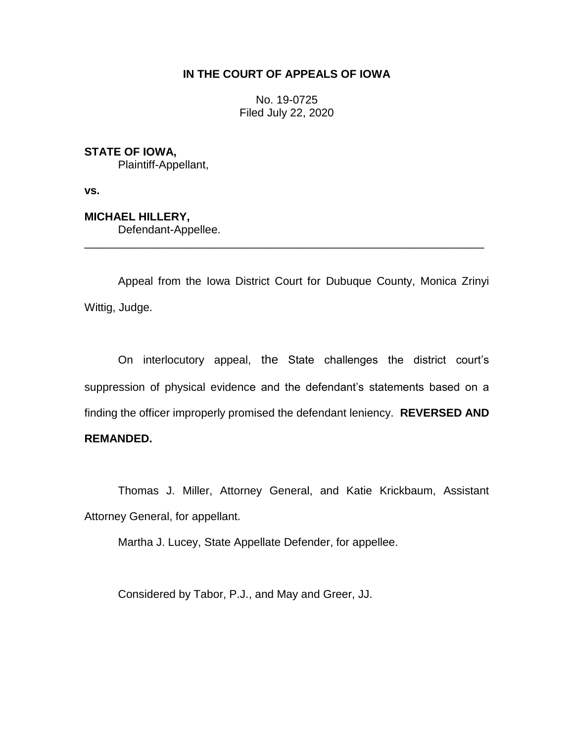# **IN THE COURT OF APPEALS OF IOWA**

No. 19-0725 Filed July 22, 2020

**STATE OF IOWA,**

Plaintiff-Appellant,

**vs.**

**MICHAEL HILLERY,** Defendant-Appellee.

Appeal from the Iowa District Court for Dubuque County, Monica Zrinyi Wittig, Judge.

\_\_\_\_\_\_\_\_\_\_\_\_\_\_\_\_\_\_\_\_\_\_\_\_\_\_\_\_\_\_\_\_\_\_\_\_\_\_\_\_\_\_\_\_\_\_\_\_\_\_\_\_\_\_\_\_\_\_\_\_\_\_\_\_

On interlocutory appeal, the State challenges the district court's suppression of physical evidence and the defendant's statements based on a finding the officer improperly promised the defendant leniency. **REVERSED AND REMANDED.**

Thomas J. Miller, Attorney General, and Katie Krickbaum, Assistant Attorney General, for appellant.

Martha J. Lucey, State Appellate Defender, for appellee.

Considered by Tabor, P.J., and May and Greer, JJ.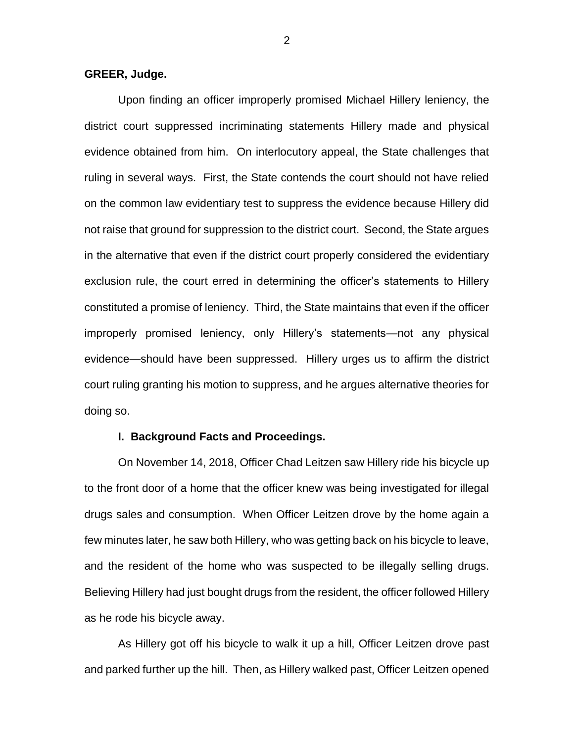### **GREER, Judge.**

Upon finding an officer improperly promised Michael Hillery leniency, the district court suppressed incriminating statements Hillery made and physical evidence obtained from him. On interlocutory appeal, the State challenges that ruling in several ways. First, the State contends the court should not have relied on the common law evidentiary test to suppress the evidence because Hillery did not raise that ground for suppression to the district court. Second, the State argues in the alternative that even if the district court properly considered the evidentiary exclusion rule, the court erred in determining the officer's statements to Hillery constituted a promise of leniency. Third, the State maintains that even if the officer improperly promised leniency, only Hillery's statements—not any physical evidence—should have been suppressed. Hillery urges us to affirm the district court ruling granting his motion to suppress, and he argues alternative theories for doing so.

#### **I. Background Facts and Proceedings.**

On November 14, 2018, Officer Chad Leitzen saw Hillery ride his bicycle up to the front door of a home that the officer knew was being investigated for illegal drugs sales and consumption. When Officer Leitzen drove by the home again a few minutes later, he saw both Hillery, who was getting back on his bicycle to leave, and the resident of the home who was suspected to be illegally selling drugs. Believing Hillery had just bought drugs from the resident, the officer followed Hillery as he rode his bicycle away.

As Hillery got off his bicycle to walk it up a hill, Officer Leitzen drove past and parked further up the hill. Then, as Hillery walked past, Officer Leitzen opened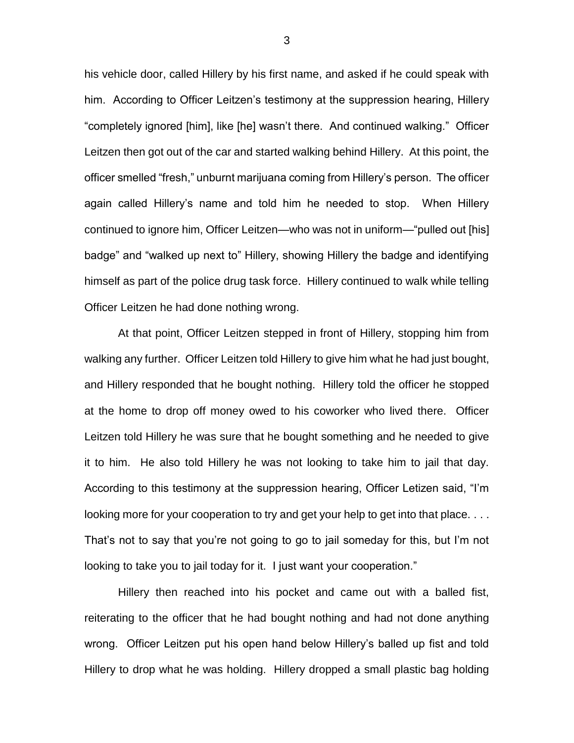his vehicle door, called Hillery by his first name, and asked if he could speak with him. According to Officer Leitzen's testimony at the suppression hearing, Hillery "completely ignored [him], like [he] wasn't there. And continued walking." Officer Leitzen then got out of the car and started walking behind Hillery. At this point, the officer smelled "fresh," unburnt marijuana coming from Hillery's person. The officer again called Hillery's name and told him he needed to stop. When Hillery continued to ignore him, Officer Leitzen—who was not in uniform—"pulled out [his] badge" and "walked up next to" Hillery, showing Hillery the badge and identifying himself as part of the police drug task force. Hillery continued to walk while telling Officer Leitzen he had done nothing wrong.

At that point, Officer Leitzen stepped in front of Hillery, stopping him from walking any further. Officer Leitzen told Hillery to give him what he had just bought, and Hillery responded that he bought nothing. Hillery told the officer he stopped at the home to drop off money owed to his coworker who lived there. Officer Leitzen told Hillery he was sure that he bought something and he needed to give it to him. He also told Hillery he was not looking to take him to jail that day. According to this testimony at the suppression hearing, Officer Letizen said, "I'm looking more for your cooperation to try and get your help to get into that place. . . . That's not to say that you're not going to go to jail someday for this, but I'm not looking to take you to jail today for it. I just want your cooperation."

Hillery then reached into his pocket and came out with a balled fist, reiterating to the officer that he had bought nothing and had not done anything wrong. Officer Leitzen put his open hand below Hillery's balled up fist and told Hillery to drop what he was holding. Hillery dropped a small plastic bag holding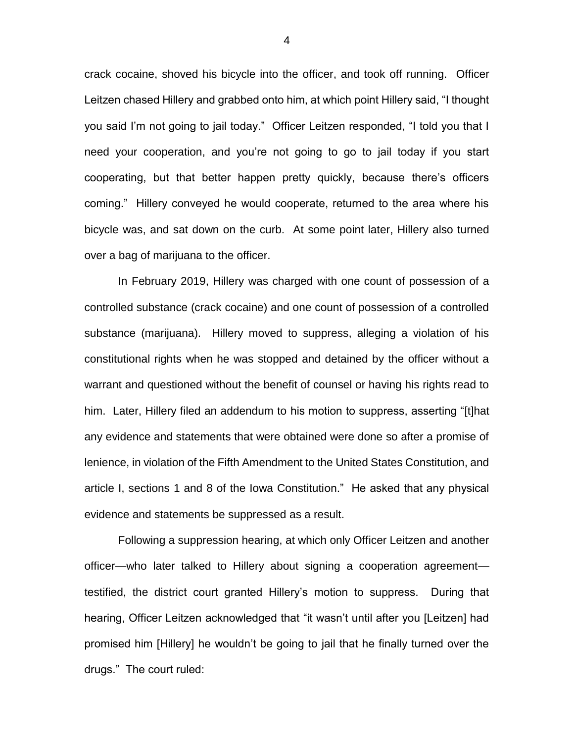crack cocaine, shoved his bicycle into the officer, and took off running. Officer Leitzen chased Hillery and grabbed onto him, at which point Hillery said, "I thought you said I'm not going to jail today." Officer Leitzen responded, "I told you that I need your cooperation, and you're not going to go to jail today if you start cooperating, but that better happen pretty quickly, because there's officers coming." Hillery conveyed he would cooperate, returned to the area where his bicycle was, and sat down on the curb. At some point later, Hillery also turned over a bag of marijuana to the officer.

In February 2019, Hillery was charged with one count of possession of a controlled substance (crack cocaine) and one count of possession of a controlled substance (marijuana). Hillery moved to suppress, alleging a violation of his constitutional rights when he was stopped and detained by the officer without a warrant and questioned without the benefit of counsel or having his rights read to him. Later, Hillery filed an addendum to his motion to suppress, asserting "[t]hat any evidence and statements that were obtained were done so after a promise of lenience, in violation of the Fifth Amendment to the United States Constitution, and article I, sections 1 and 8 of the Iowa Constitution." He asked that any physical evidence and statements be suppressed as a result.

Following a suppression hearing, at which only Officer Leitzen and another officer—who later talked to Hillery about signing a cooperation agreement testified, the district court granted Hillery's motion to suppress. During that hearing, Officer Leitzen acknowledged that "it wasn't until after you [Leitzen] had promised him [Hillery] he wouldn't be going to jail that he finally turned over the drugs." The court ruled: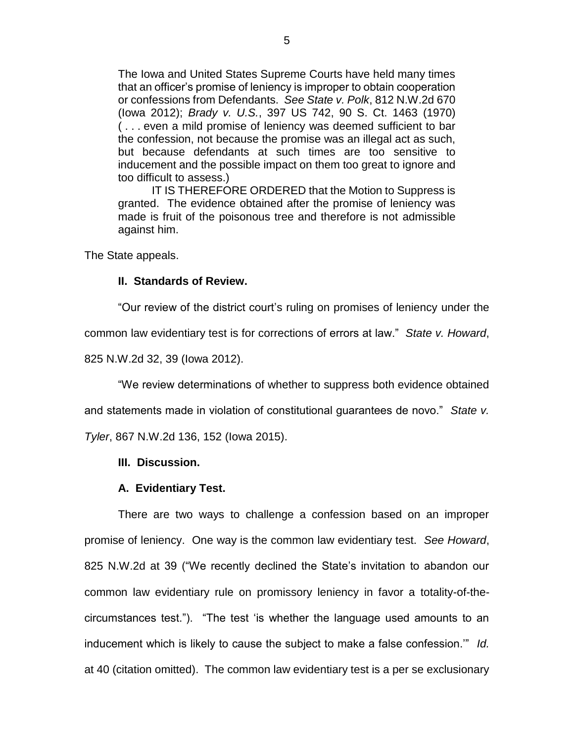The Iowa and United States Supreme Courts have held many times that an officer's promise of leniency is improper to obtain cooperation or confessions from Defendants. *See State v. Polk*, 812 N.W.2d 670 (Iowa 2012); *Brady v. U.S.*, 397 US 742, 90 S. Ct. 1463 (1970) ( . . . even a mild promise of leniency was deemed sufficient to bar the confession, not because the promise was an illegal act as such, but because defendants at such times are too sensitive to inducement and the possible impact on them too great to ignore and too difficult to assess.)

IT IS THEREFORE ORDERED that the Motion to Suppress is granted. The evidence obtained after the promise of leniency was made is fruit of the poisonous tree and therefore is not admissible against him.

The State appeals.

### **II. Standards of Review.**

"Our review of the district court's ruling on promises of leniency under the

common law evidentiary test is for corrections of errors at law." *State v. Howard*,

825 N.W.2d 32, 39 (Iowa 2012).

"We review determinations of whether to suppress both evidence obtained

and statements made in violation of constitutional guarantees de novo." *State v.* 

*Tyler*, 867 N.W.2d 136, 152 (Iowa 2015).

### **III. Discussion.**

# **A. Evidentiary Test.**

There are two ways to challenge a confession based on an improper promise of leniency. One way is the common law evidentiary test. *See Howard*, 825 N.W.2d at 39 ("We recently declined the State's invitation to abandon our common law evidentiary rule on promissory leniency in favor a totality-of-thecircumstances test."). "The test 'is whether the language used amounts to an inducement which is likely to cause the subject to make a false confession.'" *Id.*  at 40 (citation omitted). The common law evidentiary test is a per se exclusionary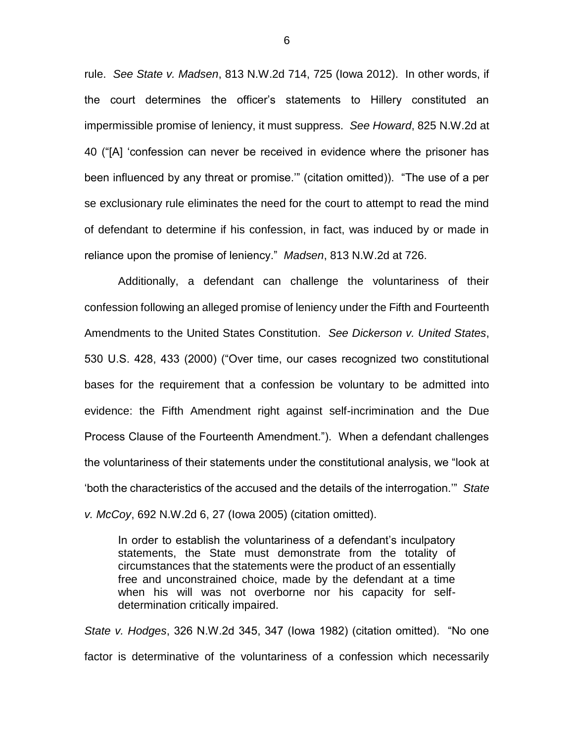rule. *See State v. Madsen*, 813 N.W.2d 714, 725 (Iowa 2012). In other words, if the court determines the officer's statements to Hillery constituted an impermissible promise of leniency, it must suppress. *See Howard*, 825 N.W.2d at 40 ("[A] 'confession can never be received in evidence where the prisoner has been influenced by any threat or promise.'" (citation omitted)). "The use of a per se exclusionary rule eliminates the need for the court to attempt to read the mind of defendant to determine if his confession, in fact, was induced by or made in reliance upon the promise of leniency." *Madsen*, 813 N.W.2d at 726.

Additionally, a defendant can challenge the voluntariness of their confession following an alleged promise of leniency under the Fifth and Fourteenth Amendments to the United States Constitution. *See Dickerson v. United States*, 530 U.S. 428, 433 (2000) ("Over time, our cases recognized two constitutional bases for the requirement that a confession be voluntary to be admitted into evidence: the Fifth Amendment right against self-incrimination and the Due Process Clause of the Fourteenth Amendment."). When a defendant challenges the voluntariness of their statements under the constitutional analysis, we "look at 'both the characteristics of the accused and the details of the interrogation.'" *State v. McCoy*, 692 N.W.2d 6, 27 (Iowa 2005) (citation omitted).

In order to establish the voluntariness of a defendant's inculpatory statements, the State must demonstrate from the totality of circumstances that the statements were the product of an essentially free and unconstrained choice, made by the defendant at a time when his will was not overborne nor his capacity for selfdetermination critically impaired.

*State v. Hodges*, 326 N.W.2d 345, 347 (Iowa 1982) (citation omitted). "No one factor is determinative of the voluntariness of a confession which necessarily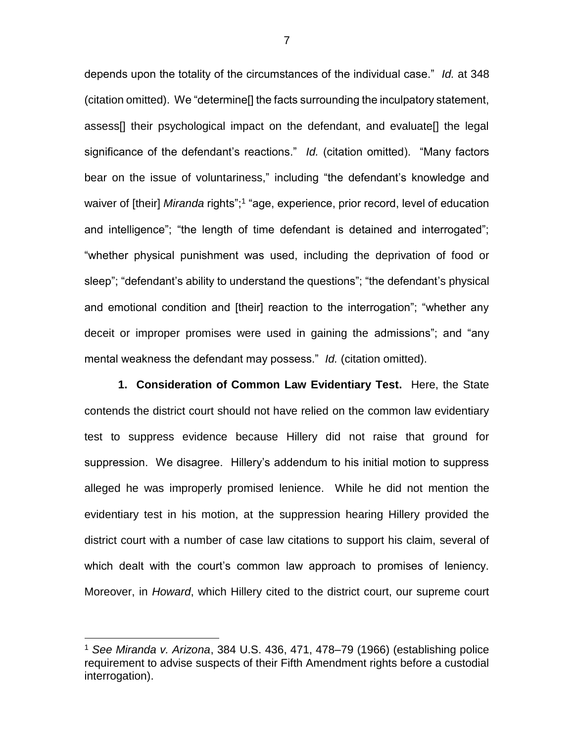depends upon the totality of the circumstances of the individual case." *Id.* at 348 (citation omitted). We "determine[] the facts surrounding the inculpatory statement, assess[] their psychological impact on the defendant, and evaluate[] the legal significance of the defendant's reactions." *Id.* (citation omitted). "Many factors bear on the issue of voluntariness," including "the defendant's knowledge and waiver of [their] Miranda rights";<sup>1</sup> "age, experience, prior record, level of education and intelligence"; "the length of time defendant is detained and interrogated"; "whether physical punishment was used, including the deprivation of food or sleep"; "defendant's ability to understand the questions"; "the defendant's physical and emotional condition and [their] reaction to the interrogation"; "whether any deceit or improper promises were used in gaining the admissions"; and "any mental weakness the defendant may possess." *Id.* (citation omitted).

**1. Consideration of Common Law Evidentiary Test.** Here, the State contends the district court should not have relied on the common law evidentiary test to suppress evidence because Hillery did not raise that ground for suppression. We disagree. Hillery's addendum to his initial motion to suppress alleged he was improperly promised lenience. While he did not mention the evidentiary test in his motion, at the suppression hearing Hillery provided the district court with a number of case law citations to support his claim, several of which dealt with the court's common law approach to promises of leniency. Moreover, in *Howard*, which Hillery cited to the district court, our supreme court

 $\overline{a}$ 

<sup>1</sup> *See Miranda v. Arizona*, 384 U.S. 436, 471, 478–79 (1966) (establishing police requirement to advise suspects of their Fifth Amendment rights before a custodial interrogation).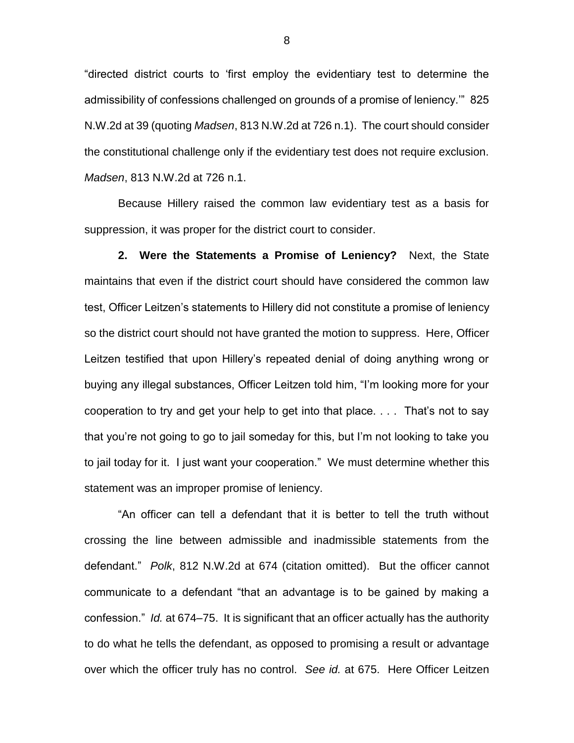"directed district courts to 'first employ the evidentiary test to determine the admissibility of confessions challenged on grounds of a promise of leniency.'" 825 N.W.2d at 39 (quoting *Madsen*, 813 N.W.2d at 726 n.1). The court should consider the constitutional challenge only if the evidentiary test does not require exclusion. *Madsen*, 813 N.W.2d at 726 n.1.

Because Hillery raised the common law evidentiary test as a basis for suppression, it was proper for the district court to consider.

**2. Were the Statements a Promise of Leniency?** Next, the State maintains that even if the district court should have considered the common law test, Officer Leitzen's statements to Hillery did not constitute a promise of leniency so the district court should not have granted the motion to suppress. Here, Officer Leitzen testified that upon Hillery's repeated denial of doing anything wrong or buying any illegal substances, Officer Leitzen told him, "I'm looking more for your cooperation to try and get your help to get into that place. . . . That's not to say that you're not going to go to jail someday for this, but I'm not looking to take you to jail today for it. I just want your cooperation." We must determine whether this statement was an improper promise of leniency.

"An officer can tell a defendant that it is better to tell the truth without crossing the line between admissible and inadmissible statements from the defendant." *Polk*, 812 N.W.2d at 674 (citation omitted). But the officer cannot communicate to a defendant "that an advantage is to be gained by making a confession." *Id.* at 674–75. It is significant that an officer actually has the authority to do what he tells the defendant, as opposed to promising a result or advantage over which the officer truly has no control. *See id.* at 675. Here Officer Leitzen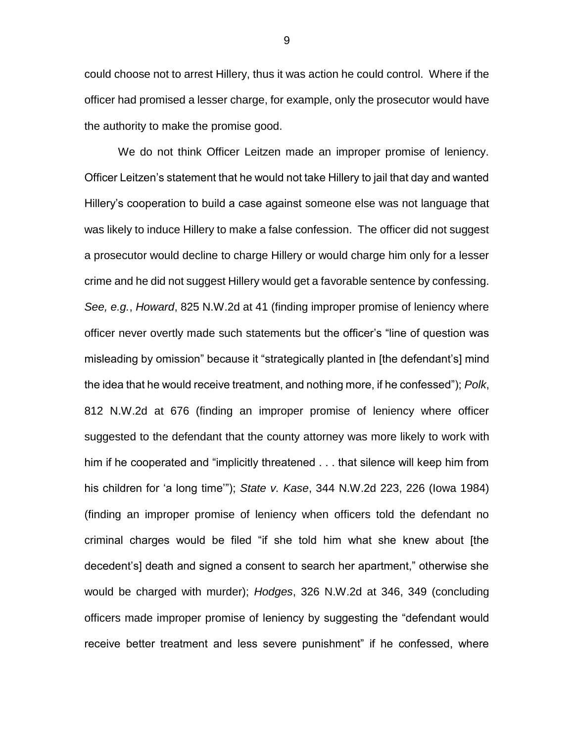could choose not to arrest Hillery, thus it was action he could control. Where if the officer had promised a lesser charge, for example, only the prosecutor would have the authority to make the promise good.

We do not think Officer Leitzen made an improper promise of leniency. Officer Leitzen's statement that he would not take Hillery to jail that day and wanted Hillery's cooperation to build a case against someone else was not language that was likely to induce Hillery to make a false confession. The officer did not suggest a prosecutor would decline to charge Hillery or would charge him only for a lesser crime and he did not suggest Hillery would get a favorable sentence by confessing. *See, e.g.*, *Howard*, 825 N.W.2d at 41 (finding improper promise of leniency where officer never overtly made such statements but the officer's "line of question was misleading by omission" because it "strategically planted in [the defendant's] mind the idea that he would receive treatment, and nothing more, if he confessed"); *Polk*, 812 N.W.2d at 676 (finding an improper promise of leniency where officer suggested to the defendant that the county attorney was more likely to work with him if he cooperated and "implicitly threatened . . . that silence will keep him from his children for 'a long time'"); *State v. Kase*, 344 N.W.2d 223, 226 (Iowa 1984) (finding an improper promise of leniency when officers told the defendant no criminal charges would be filed "if she told him what she knew about [the decedent's] death and signed a consent to search her apartment," otherwise she would be charged with murder); *Hodges*, 326 N.W.2d at 346, 349 (concluding officers made improper promise of leniency by suggesting the "defendant would receive better treatment and less severe punishment" if he confessed, where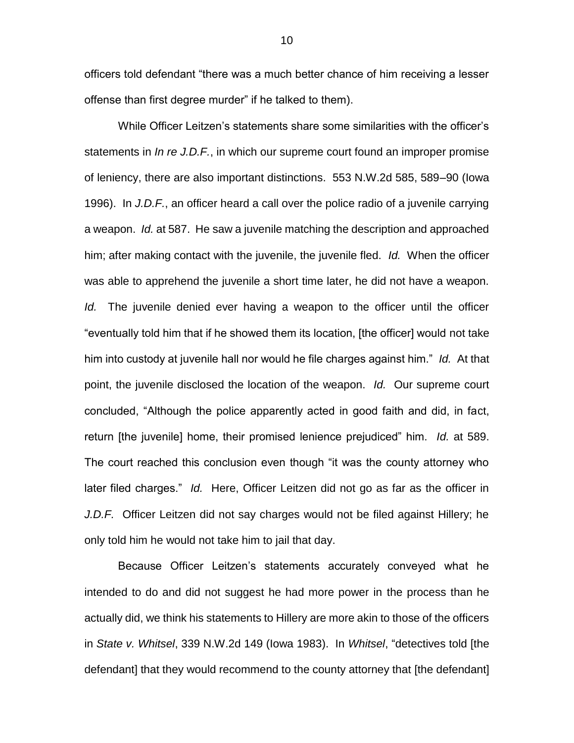officers told defendant "there was a much better chance of him receiving a lesser offense than first degree murder" if he talked to them).

While Officer Leitzen's statements share some similarities with the officer's statements in *In re J.D.F.*, in which our supreme court found an improper promise of leniency, there are also important distinctions. 553 N.W.2d 585, 589–90 (Iowa 1996). In *J.D.F.*, an officer heard a call over the police radio of a juvenile carrying a weapon. *Id.* at 587. He saw a juvenile matching the description and approached him; after making contact with the juvenile, the juvenile fled. *Id.* When the officer was able to apprehend the juvenile a short time later, he did not have a weapon. *Id.* The juvenile denied ever having a weapon to the officer until the officer "eventually told him that if he showed them its location, [the officer] would not take him into custody at juvenile hall nor would he file charges against him." *Id.* At that point, the juvenile disclosed the location of the weapon. *Id.* Our supreme court concluded, "Although the police apparently acted in good faith and did, in fact, return [the juvenile] home, their promised lenience prejudiced" him. *Id.* at 589. The court reached this conclusion even though "it was the county attorney who later filed charges." *Id.* Here, Officer Leitzen did not go as far as the officer in *J.D.F.* Officer Leitzen did not say charges would not be filed against Hillery; he only told him he would not take him to jail that day.

Because Officer Leitzen's statements accurately conveyed what he intended to do and did not suggest he had more power in the process than he actually did, we think his statements to Hillery are more akin to those of the officers in *State v. Whitsel*, 339 N.W.2d 149 (Iowa 1983). In *Whitsel*, "detectives told [the defendant] that they would recommend to the county attorney that [the defendant]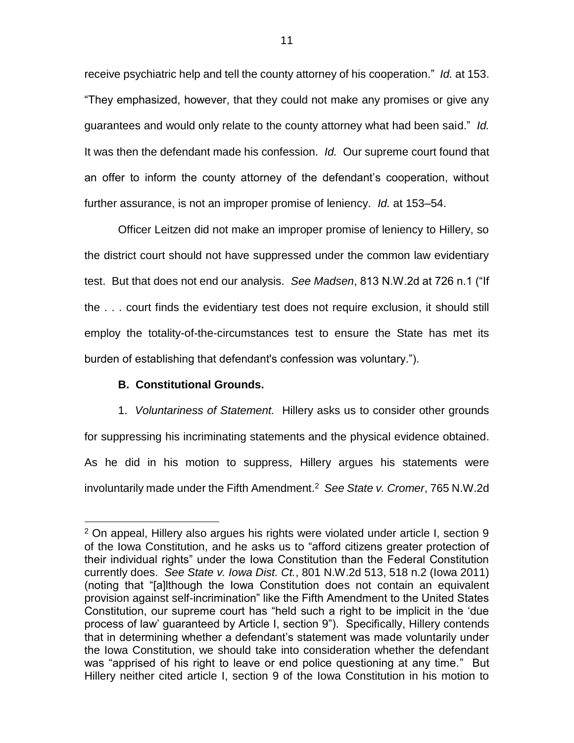receive psychiatric help and tell the county attorney of his cooperation." *Id.* at 153. "They emphasized, however, that they could not make any promises or give any guarantees and would only relate to the county attorney what had been said." *Id.* It was then the defendant made his confession. *Id.* Our supreme court found that an offer to inform the county attorney of the defendant's cooperation, without further assurance, is not an improper promise of leniency. *Id.* at 153–54.

Officer Leitzen did not make an improper promise of leniency to Hillery, so the district court should not have suppressed under the common law evidentiary test. But that does not end our analysis. *See Madsen*, 813 N.W.2d at 726 n.1 ("If the . . . court finds the evidentiary test does not require exclusion, it should still employ the totality-of-the-circumstances test to ensure the State has met its burden of establishing that defendant's confession was voluntary.").

# **B. Constitutional Grounds.**

 $\overline{a}$ 

1. *Voluntariness of Statement.* Hillery asks us to consider other grounds for suppressing his incriminating statements and the physical evidence obtained. As he did in his motion to suppress, Hillery argues his statements were involuntarily made under the Fifth Amendment.<sup>2</sup> *See State v. Cromer*, 765 N.W.2d

 $2$  On appeal, Hillery also argues his rights were violated under article I, section 9 of the Iowa Constitution, and he asks us to "afford citizens greater protection of their individual rights" under the Iowa Constitution than the Federal Constitution currently does. *See State v. Iowa Dist. Ct.*, 801 N.W.2d 513, 518 n.2 (Iowa 2011) (noting that "[a]lthough the Iowa Constitution does not contain an equivalent provision against self-incrimination" like the Fifth Amendment to the United States Constitution, our supreme court has "held such a right to be implicit in the 'due process of law' guaranteed by Article I, section 9"). Specifically, Hillery contends that in determining whether a defendant's statement was made voluntarily under the Iowa Constitution, we should take into consideration whether the defendant was "apprised of his right to leave or end police questioning at any time." But Hillery neither cited article I, section 9 of the Iowa Constitution in his motion to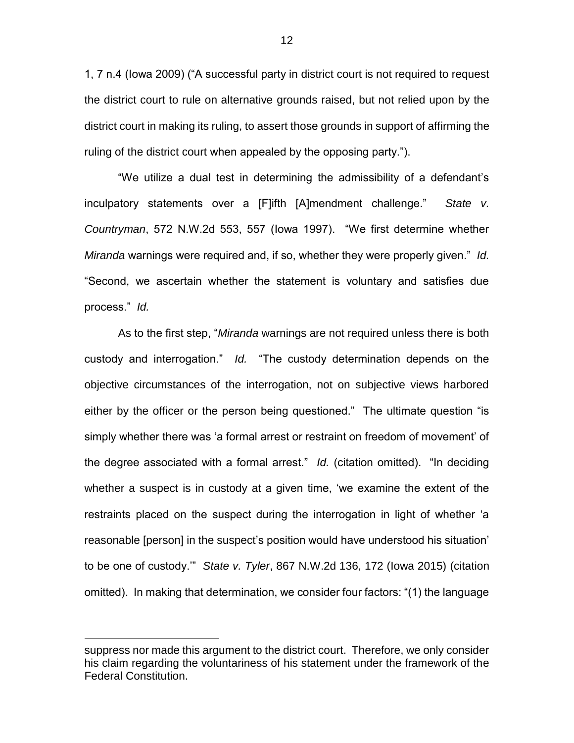1, 7 n.4 (Iowa 2009) ("A successful party in district court is not required to request the district court to rule on alternative grounds raised, but not relied upon by the district court in making its ruling, to assert those grounds in support of affirming the ruling of the district court when appealed by the opposing party.").

"We utilize a dual test in determining the admissibility of a defendant's inculpatory statements over a [F]ifth [A]mendment challenge." *State v. Countryman*, 572 N.W.2d 553, 557 (Iowa 1997). "We first determine whether *Miranda* warnings were required and, if so, whether they were properly given." *Id.*  "Second, we ascertain whether the statement is voluntary and satisfies due process." *Id.* 

As to the first step, "*Miranda* warnings are not required unless there is both custody and interrogation." *Id.* "The custody determination depends on the objective circumstances of the interrogation, not on subjective views harbored either by the officer or the person being questioned." The ultimate question "is simply whether there was 'a formal arrest or restraint on freedom of movement' of the degree associated with a formal arrest." *Id.* (citation omitted). "In deciding whether a suspect is in custody at a given time, 'we examine the extent of the restraints placed on the suspect during the interrogation in light of whether 'a reasonable [person] in the suspect's position would have understood his situation' to be one of custody.'" *State v. Tyler*, 867 N.W.2d 136, 172 (Iowa 2015) (citation omitted). In making that determination, we consider four factors: "(1) the language

 $\overline{a}$ 

suppress nor made this argument to the district court. Therefore, we only consider his claim regarding the voluntariness of his statement under the framework of the Federal Constitution.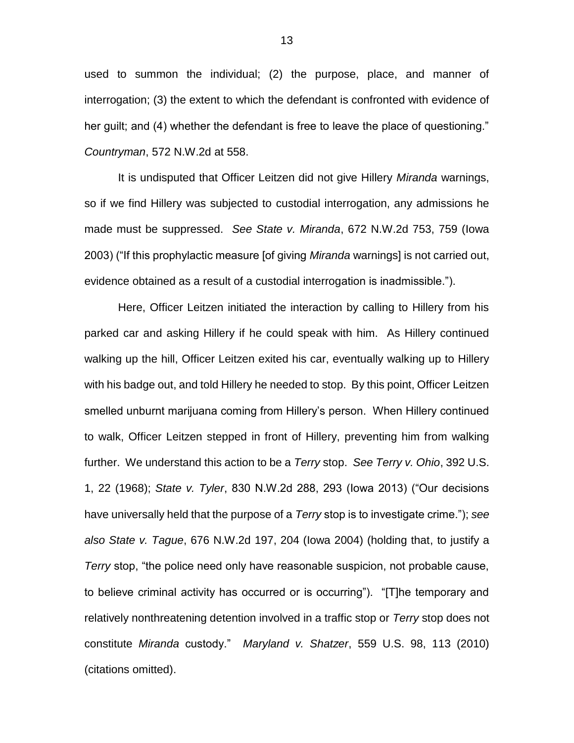used to summon the individual; (2) the purpose, place, and manner of interrogation; (3) the extent to which the defendant is confronted with evidence of her guilt; and (4) whether the defendant is free to leave the place of questioning." *Countryman*, 572 N.W.2d at 558.

It is undisputed that Officer Leitzen did not give Hillery *Miranda* warnings, so if we find Hillery was subjected to custodial interrogation, any admissions he made must be suppressed. *See State v. Miranda*, 672 N.W.2d 753, 759 (Iowa 2003) ("If this prophylactic measure [of giving *Miranda* warnings] is not carried out, evidence obtained as a result of a custodial interrogation is inadmissible.").

Here, Officer Leitzen initiated the interaction by calling to Hillery from his parked car and asking Hillery if he could speak with him. As Hillery continued walking up the hill, Officer Leitzen exited his car, eventually walking up to Hillery with his badge out, and told Hillery he needed to stop. By this point, Officer Leitzen smelled unburnt marijuana coming from Hillery's person. When Hillery continued to walk, Officer Leitzen stepped in front of Hillery, preventing him from walking further. We understand this action to be a *Terry* stop. *See Terry v. Ohio*, 392 U.S. 1, 22 (1968); *State v. Tyler*, 830 N.W.2d 288, 293 (Iowa 2013) ("Our decisions have universally held that the purpose of a *Terry* stop is to investigate crime."); *see also State v. Tague*, 676 N.W.2d 197, 204 (Iowa 2004) (holding that, to justify a *Terry* stop, "the police need only have reasonable suspicion, not probable cause, to believe criminal activity has occurred or is occurring"). "[T]he temporary and relatively nonthreatening detention involved in a traffic stop or *Terry* stop does not constitute *Miranda* custody." *Maryland v. Shatzer*, 559 U.S. 98, 113 (2010) (citations omitted).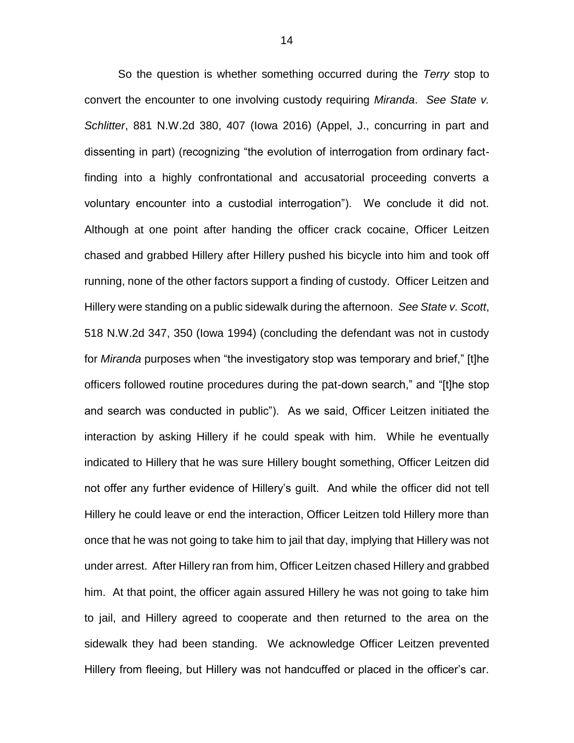So the question is whether something occurred during the *Terry* stop to convert the encounter to one involving custody requiring *Miranda*. *See State v. Schlitter*, 881 N.W.2d 380, 407 (Iowa 2016) (Appel, J., concurring in part and dissenting in part) (recognizing "the evolution of interrogation from ordinary factfinding into a highly confrontational and accusatorial proceeding converts a voluntary encounter into a custodial interrogation"). We conclude it did not. Although at one point after handing the officer crack cocaine, Officer Leitzen chased and grabbed Hillery after Hillery pushed his bicycle into him and took off running, none of the other factors support a finding of custody. Officer Leitzen and Hillery were standing on a public sidewalk during the afternoon. *See State v. Scott*, 518 N.W.2d 347, 350 (Iowa 1994) (concluding the defendant was not in custody for *Miranda* purposes when "the investigatory stop was temporary and brief," [t]he officers followed routine procedures during the pat-down search," and "[t]he stop and search was conducted in public"). As we said, Officer Leitzen initiated the interaction by asking Hillery if he could speak with him. While he eventually indicated to Hillery that he was sure Hillery bought something, Officer Leitzen did not offer any further evidence of Hillery's guilt. And while the officer did not tell Hillery he could leave or end the interaction, Officer Leitzen told Hillery more than once that he was not going to take him to jail that day, implying that Hillery was not under arrest. After Hillery ran from him, Officer Leitzen chased Hillery and grabbed him. At that point, the officer again assured Hillery he was not going to take him to jail, and Hillery agreed to cooperate and then returned to the area on the sidewalk they had been standing. We acknowledge Officer Leitzen prevented Hillery from fleeing, but Hillery was not handcuffed or placed in the officer's car.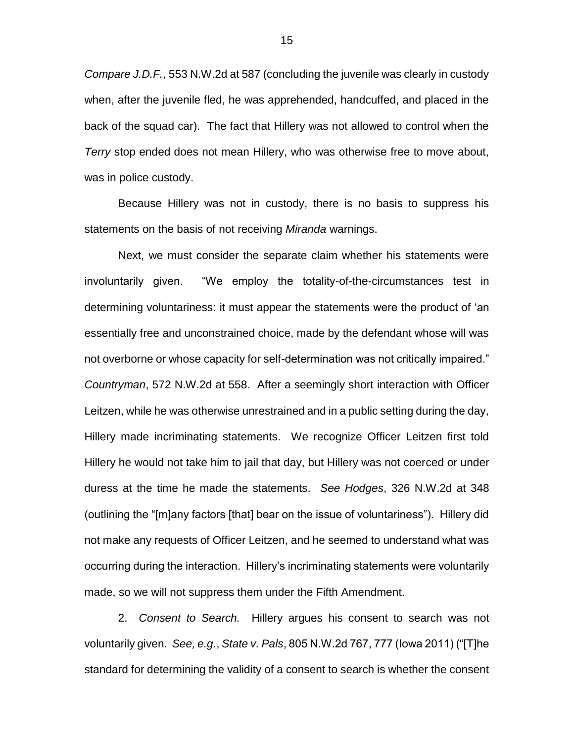*Compare J.D.F.*, 553 N.W.2d at 587 (concluding the juvenile was clearly in custody when, after the juvenile fled, he was apprehended, handcuffed, and placed in the back of the squad car). The fact that Hillery was not allowed to control when the *Terry* stop ended does not mean Hillery, who was otherwise free to move about, was in police custody.

Because Hillery was not in custody, there is no basis to suppress his statements on the basis of not receiving *Miranda* warnings.

Next, we must consider the separate claim whether his statements were involuntarily given. "We employ the totality-of-the-circumstances test in determining voluntariness: it must appear the statements were the product of 'an essentially free and unconstrained choice, made by the defendant whose will was not overborne or whose capacity for self-determination was not critically impaired." *Countryman*, 572 N.W.2d at 558. After a seemingly short interaction with Officer Leitzen, while he was otherwise unrestrained and in a public setting during the day, Hillery made incriminating statements. We recognize Officer Leitzen first told Hillery he would not take him to jail that day, but Hillery was not coerced or under duress at the time he made the statements. *See Hodges*, 326 N.W.2d at 348 (outlining the "[m]any factors [that] bear on the issue of voluntariness"). Hillery did not make any requests of Officer Leitzen, and he seemed to understand what was occurring during the interaction. Hillery's incriminating statements were voluntarily made, so we will not suppress them under the Fifth Amendment.

2. *Consent to Search.* Hillery argues his consent to search was not voluntarily given. *See, e.g.*, *State v. Pals*, 805 N.W.2d 767, 777 (Iowa 2011) ("[T]he standard for determining the validity of a consent to search is whether the consent